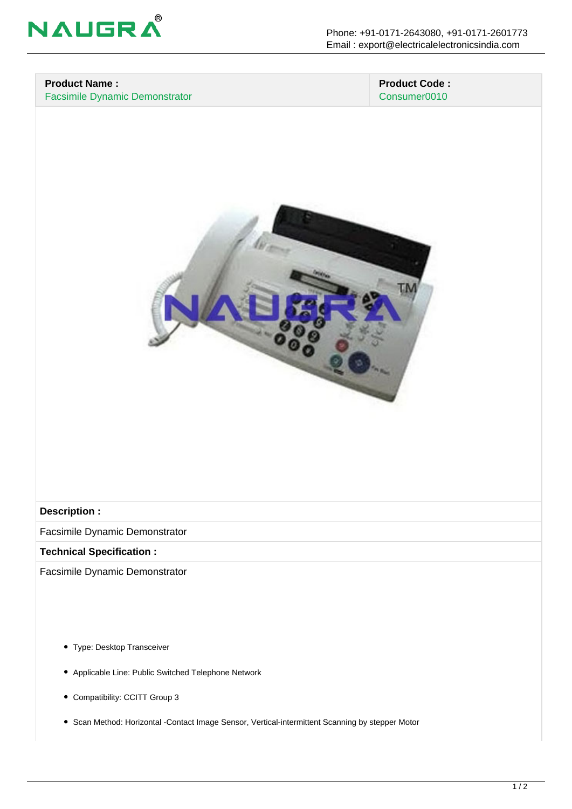

### **Product Name :** Facsimile Dynamic Demonstrator

 **Product Code :** Consumer0010



#### **Description :**

Facsimile Dynamic Demonstrator

#### **Technical Specification :**

Facsimile Dynamic Demonstrator

- Type: Desktop Transceiver
- Applicable Line: Public Switched Telephone Network
- Compatibility: CCITT Group 3
- Scan Method: Horizontal -Contact Image Sensor, Vertical-intermittent Scanning by stepper Motor